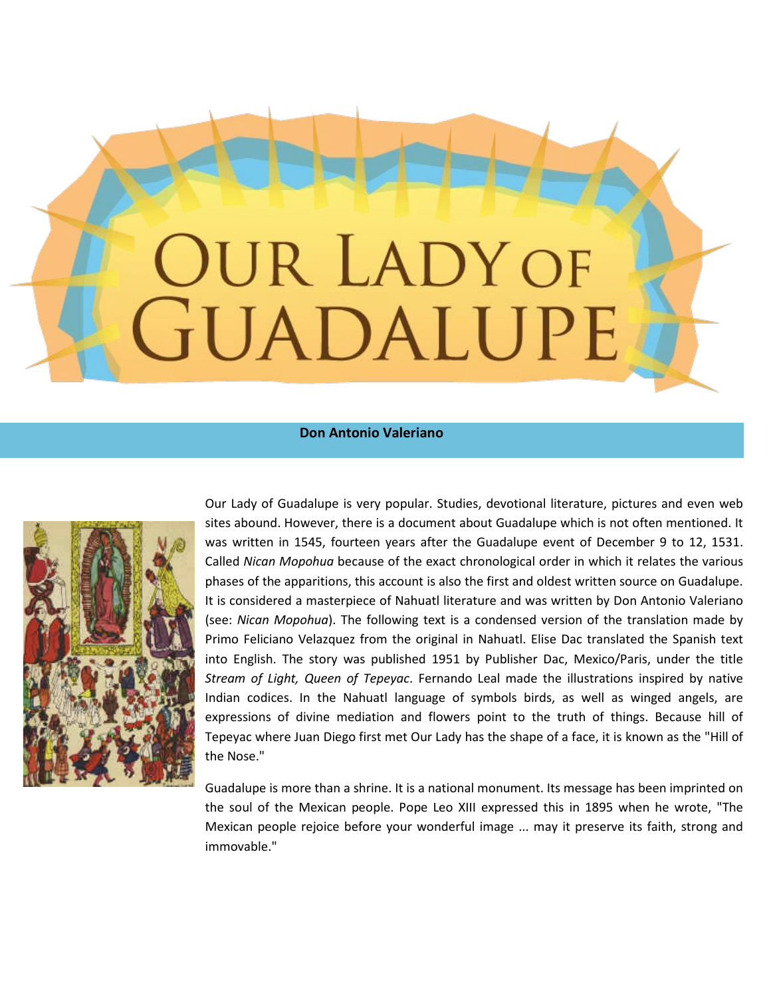# UR LADY OF GUADALUPE

## **Don Antonio Valeriano**



Our Lady of Guadalupe is very popular. Studies, devotional literature, pictures and even web sites abound. However, there is a document about Guadalupe which is not often mentioned. It was written in 1545, fourteen years after the Guadalupe event of December 9 to 12, 1531. Called *Nican Mopohua* because of the exact chronological order in which it relates the various phases of the apparitions, this account is also the first and oldest written source on Guadalupe. It is considered a masterpiece of Nahuatl literature and was written by Don Antonio Valeriano (see: *Nican Mopohua*). The following text is a condensed version of the translation made by Primo Feliciano Velazquez from the original in Nahuatl. Elise Dac translated the Spanish text into English. The story was published 1951 by Publisher Dac, Mexico/Paris, under the title *Stream of Light, Queen of Tepeyac*. Fernando Leal made the illustrations inspired by native Indian codices. In the Nahuatl language of symbols birds, as well as winged angels, are expressions of divine mediation and flowers point to the truth of things. Because hill of Tepeyac where Juan Diego first met Our Lady has the shape of a face, it is known as the "Hill of the Nose."

Guadalupe is more than a shrine. It is a national monument. Its message has been imprinted on the soul of the Mexican people. Pope Leo XIII expressed this in 1895 when he wrote, "The Mexican people rejoice before your wonderful image ... may it preserve its faith, strong and immovable."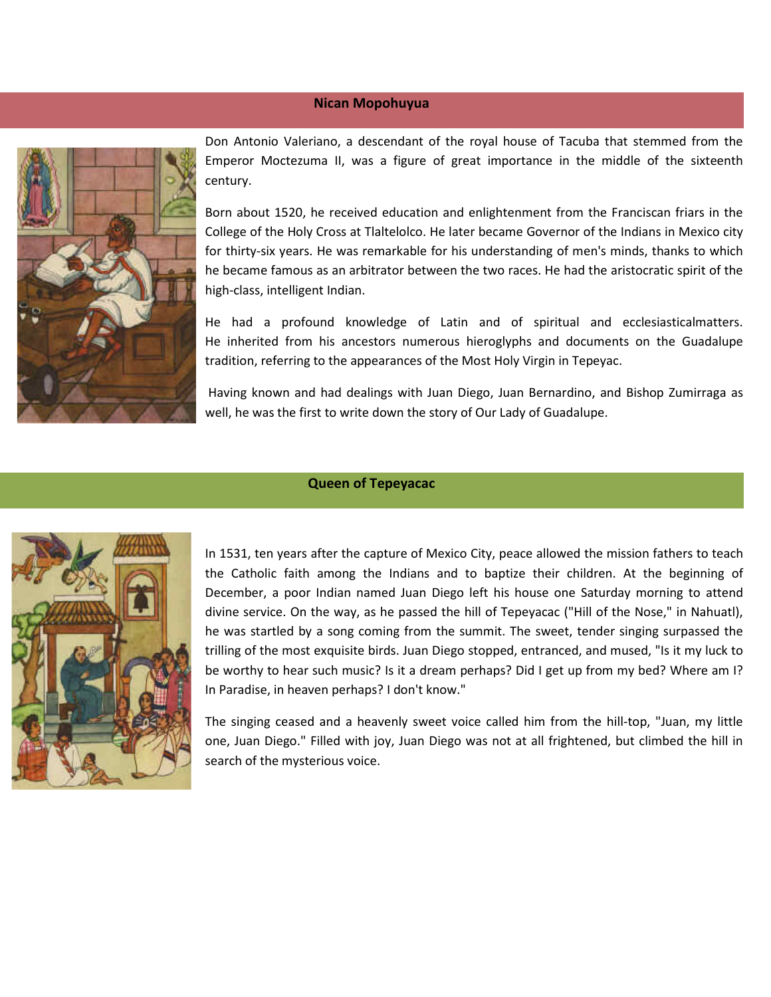#### **Nican Mopohuyua**



Don Antonio Valeriano, a descendant of the royal house of Tacuba that stemmed from the Emperor Moctezuma II, was a figure of great importance in the middle of the sixteenth century.

Born about 1520, he received education and enlightenment from the Franciscan friars in the College of the Holy Cross at Tlaltelolco. He later became Governor of the Indians in Mexico city for thirty-six years. He was remarkable for his understanding of men's minds, thanks to which he became famous as an arbitrator between the two races. He had the aristocratic spirit of the high-class, intelligent Indian.

He had a profound knowledge of Latin and of spiritual and ecclesiasticalmatters. He inherited from his ancestors numerous hieroglyphs and documents on the Guadalupe tradition, referring to the appearances of the Most Holy Virgin in Tepeyac.

Having known and had dealings with Juan Diego, Juan Bernardino, and Bishop Zumirraga as well, he was the first to write down the story of Our Lady of Guadalupe.

# **Queen of Tepeyacac**



In 1531, ten years after the capture of Mexico City, peace allowed the mission fathers to teach the Catholic faith among the Indians and to baptize their children. At the beginning of December, a poor Indian named Juan Diego left his house one Saturday morning to attend divine service. On the way, as he passed the hill of Tepeyacac ("Hill of the Nose," in Nahuatl), he was startled by a song coming from the summit. The sweet, tender singing surpassed the trilling of the most exquisite birds. Juan Diego stopped, entranced, and mused, "Is it my luck to be worthy to hear such music? Is it a dream perhaps? Did I get up from my bed? Where am I? In Paradise, in heaven perhaps? I don't know."

The singing ceased and a heavenly sweet voice called him from the hill-top, "Juan, my little one, Juan Diego." Filled with joy, Juan Diego was not at all frightened, but climbed the hill in search of the mysterious voice.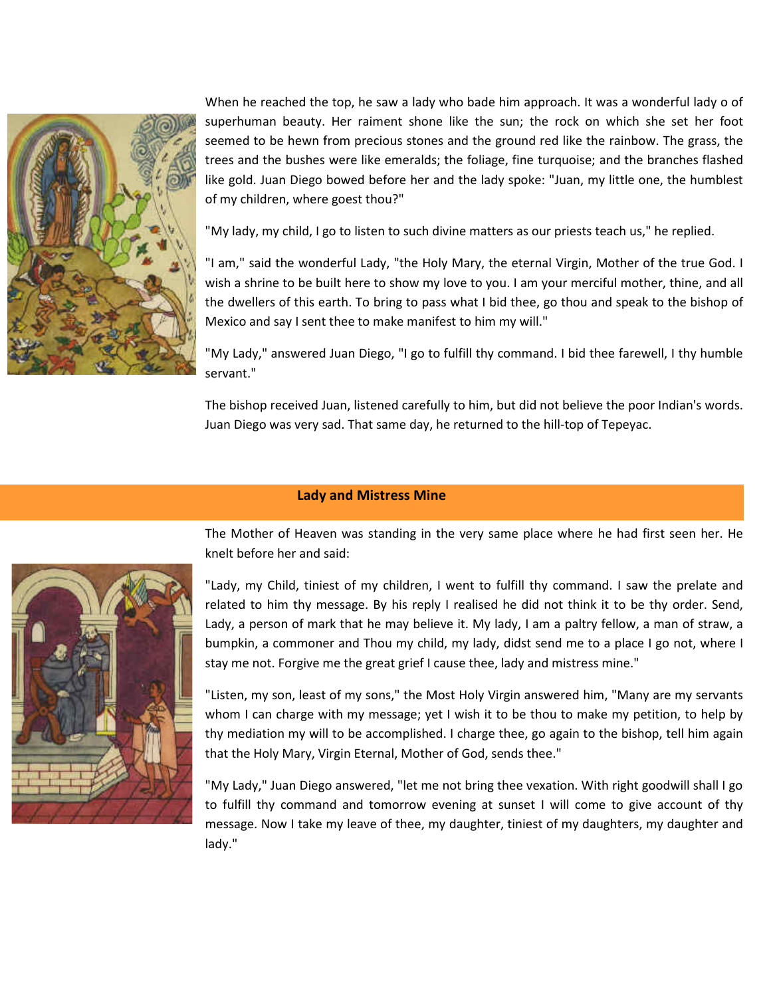

When he reached the top, he saw a lady who bade him approach. It was a wonderful lady o of superhuman beauty. Her raiment shone like the sun; the rock on which she set her foot seemed to be hewn from precious stones and the ground red like the rainbow. The grass, the trees and the bushes were like emeralds; the foliage, fine turquoise; and the branches flashed like gold. Juan Diego bowed before her and the lady spoke: "Juan, my little one, the humblest of my children, where goest thou?"

"My lady, my child, I go to listen to such divine matters as our priests teach us," he replied.

"I am," said the wonderful Lady, "the Holy Mary, the eternal Virgin, Mother of the true God. I wish a shrine to be built here to show my love to you. I am your merciful mother, thine, and all the dwellers of this earth. To bring to pass what I bid thee, go thou and speak to the bishop of Mexico and say I sent thee to make manifest to him my will."

"My Lady," answered Juan Diego, "I go to fulfill thy command. I bid thee farewell, I thy humble servant."

The bishop received Juan, listened carefully to him, but did not believe the poor Indian's words. Juan Diego was very sad. That same day, he returned to the hill-top of Tepeyac.

## **Lady and Mistress Mine**



The Mother of Heaven was standing in the very same place where he had first seen her. He knelt before her and said:

"Lady, my Child, tiniest of my children, I went to fulfill thy command. I saw the prelate and related to him thy message. By his reply I realised he did not think it to be thy order. Send, Lady, a person of mark that he may believe it. My lady, I am a paltry fellow, a man of straw, a bumpkin, a commoner and Thou my child, my lady, didst send me to a place I go not, where I stay me not. Forgive me the great grief I cause thee, lady and mistress mine."

"Listen, my son, least of my sons," the Most Holy Virgin answered him, "Many are my servants whom I can charge with my message; yet I wish it to be thou to make my petition, to help by thy mediation my will to be accomplished. I charge thee, go again to the bishop, tell him again that the Holy Mary, Virgin Eternal, Mother of God, sends thee."

"My Lady," Juan Diego answered, "let me not bring thee vexation. With right goodwill shall I go to fulfill thy command and tomorrow evening at sunset I will come to give account of thy message. Now I take my leave of thee, my daughter, tiniest of my daughters, my daughter and lady."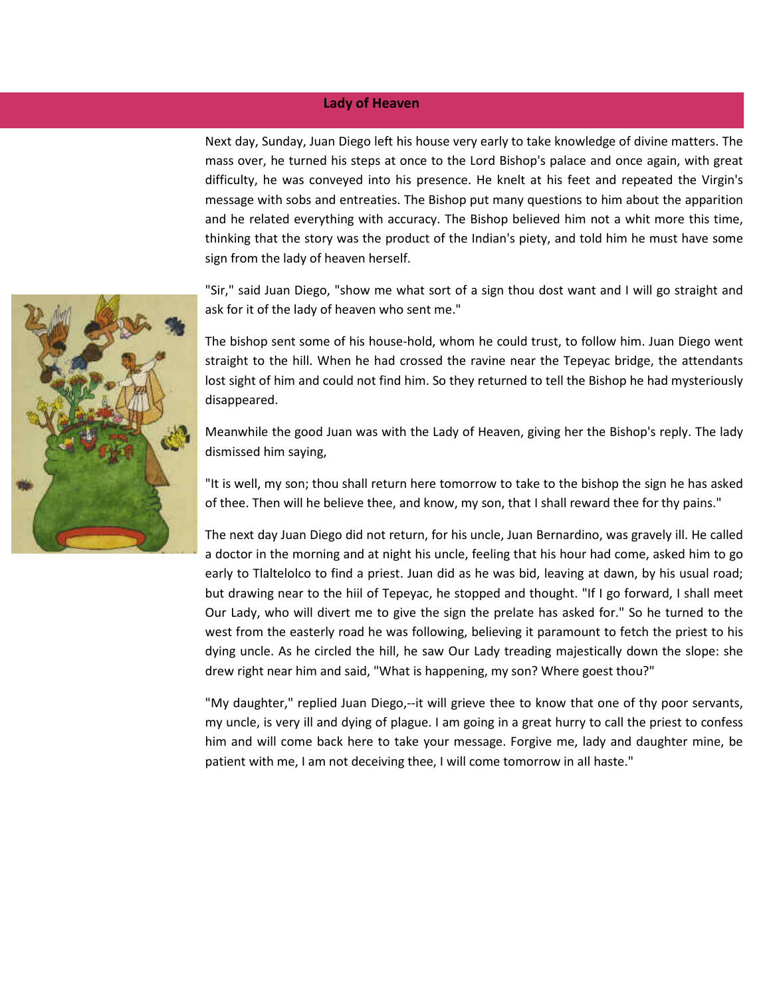### **Lady of Heaven**

Next day, Sunday, Juan Diego left his house very early to take knowledge of divine matters. The mass over, he turned his steps at once to the Lord Bishop's palace and once again, with great difficulty, he was conveyed into his presence. He knelt at his feet and repeated the Virgin's message with sobs and entreaties. The Bishop put many questions to him about the apparition and he related everything with accuracy. The Bishop believed him not a whit more this time, thinking that the story was the product of the Indian's piety, and told him he must have some sign from the lady of heaven herself.

"Sir," said Juan Diego, "show me what sort of a sign thou dost want and I will go straight and ask for it of the lady of heaven who sent me."

The bishop sent some of his house-hold, whom he could trust, to follow him. Juan Diego went straight to the hill. When he had crossed the ravine near the Tepeyac bridge, the attendants lost sight of him and could not find him. So they returned to tell the Bishop he had mysteriously disappeared.

Meanwhile the good Juan was with the Lady of Heaven, giving her the Bishop's reply. The lady dismissed him saying,

"It is well, my son; thou shall return here tomorrow to take to the bishop the sign he has asked of thee. Then will he believe thee, and know, my son, that I shall reward thee for thy pains."

The next day Juan Diego did not return, for his uncle, Juan Bernardino, was gravely ill. He called a doctor in the morning and at night his uncle, feeling that his hour had come, asked him to go early to Tlaltelolco to find a priest. Juan did as he was bid, leaving at dawn, by his usual road; but drawing near to the hiil of Tepeyac, he stopped and thought. "If I go forward, I shall meet Our Lady, who will divert me to give the sign the prelate has asked for." So he turned to the west from the easterly road he was following, believing it paramount to fetch the priest to his dying uncle. As he circled the hill, he saw Our Lady treading majestically down the slope: she drew right near him and said, "What is happening, my son? Where goest thou?"

"My daughter," replied Juan Diego,--it will grieve thee to know that one of thy poor servants, my uncle, is very ill and dying of plague. I am going in a great hurry to call the priest to confess him and will come back here to take your message. Forgive me, lady and daughter mine, be patient with me, I am not deceiving thee, I will come tomorrow in all haste."